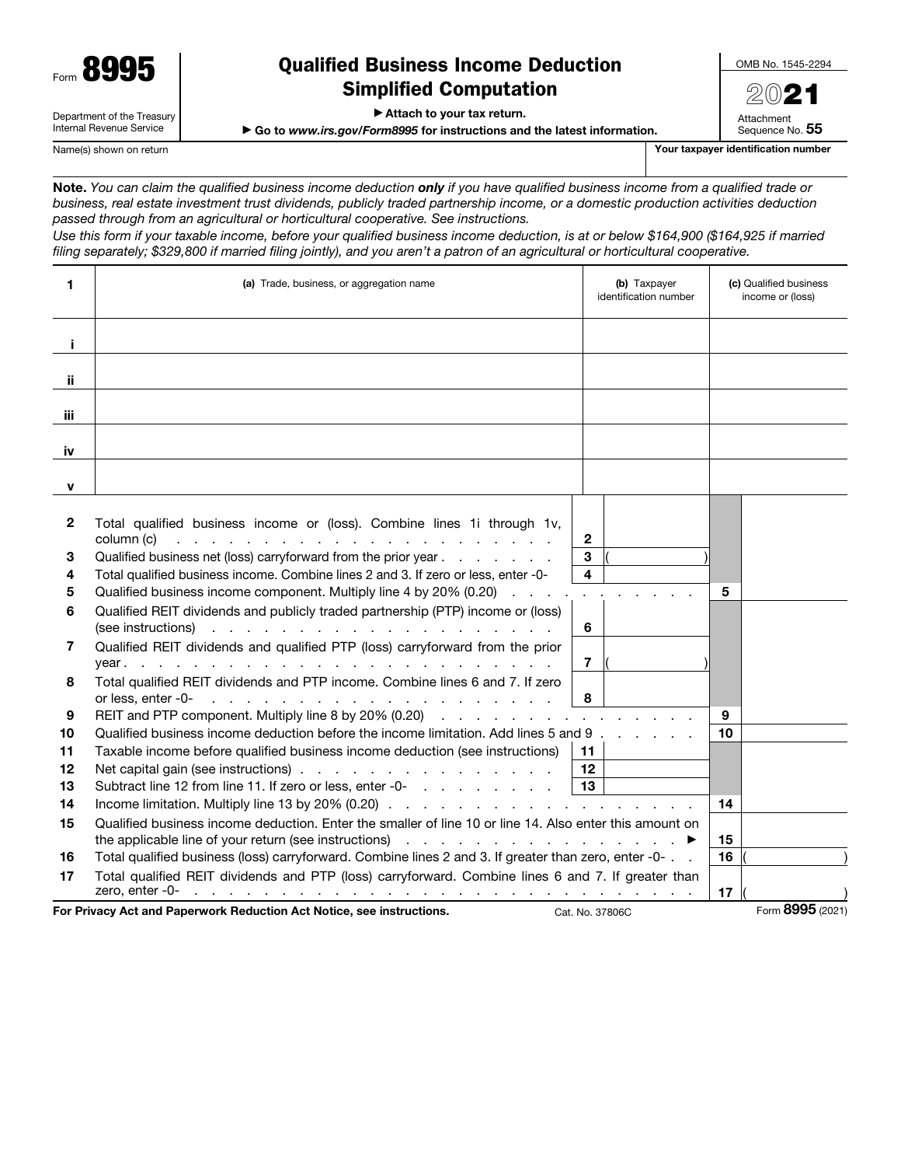Department of the Treasury Internal Revenue Service

# Qualified Business Income Deduction Simplified Computation

▶ Attach to your tax return.

▶ Go to *www.irs.gov/Form8995* for instructions and the latest information.

Name(s) shown on return **Your taxpayer identification number**  $\blacksquare$  Your taxpayer identification number

Note. *You can claim the qualified business income deduction only if you have qualified business income from a qualified trade or business, real estate investment trust dividends, publicly traded partnership income, or a domestic production activities deduction passed through from an agricultural or horticultural cooperative. See instructions.*

*Use this form if your taxable income, before your qualified business income deduction, is at or below \$164,900 (\$164,925 if married filing separately; \$329,800 if married filing jointly), and you aren't a patron of an agricultural or horticultural cooperative.*

| 1            | (a) Trade, business, or aggregation name                                                                                                                                                                                                                                                                                                                | (b) Taxpayer<br>identification number | (c) Qualified business<br>income or (loss) |                  |
|--------------|---------------------------------------------------------------------------------------------------------------------------------------------------------------------------------------------------------------------------------------------------------------------------------------------------------------------------------------------------------|---------------------------------------|--------------------------------------------|------------------|
| j.           |                                                                                                                                                                                                                                                                                                                                                         |                                       |                                            |                  |
| ji.          |                                                                                                                                                                                                                                                                                                                                                         |                                       |                                            |                  |
| iii          |                                                                                                                                                                                                                                                                                                                                                         |                                       |                                            |                  |
| iv           |                                                                                                                                                                                                                                                                                                                                                         |                                       |                                            |                  |
| $\mathbf{v}$ |                                                                                                                                                                                                                                                                                                                                                         |                                       |                                            |                  |
| 2            | Total qualified business income or (loss). Combine lines 1 through 1v,<br>column (c) $\ldots$ $\ldots$ $\ldots$ $\ldots$ $\ldots$ $\ldots$ $\ldots$ $\ldots$ $\ldots$ $\ldots$<br>$\mathbf{2}$                                                                                                                                                          |                                       |                                            |                  |
| 3<br>4<br>5  | 3<br>Qualified business net (loss) carryforward from the prior year<br>4<br>Total qualified business income. Combine lines 2 and 3. If zero or less, enter -0-<br>Qualified business income component. Multiply line 4 by 20% (0.20)                                                                                                                    |                                       | 5                                          |                  |
| 6            | Qualified REIT dividends and publicly traded partnership (PTP) income or (loss)<br>6<br>(see instructions) entering the second second second second second second second second second second second second second second second second second second second second second second second second second second second s                                  |                                       |                                            |                  |
| 7            | Qualified REIT dividends and qualified PTP (loss) carryforward from the prior<br>$\overline{7}$                                                                                                                                                                                                                                                         |                                       |                                            |                  |
| 8            | Total qualified REIT dividends and PTP income. Combine lines 6 and 7. If zero<br>8<br>or less, enter -0-<br>the contract of the contract of the contract of the contract of the contract of the contract of the contract of                                                                                                                             |                                       |                                            |                  |
| 9            | REIT and PTP component. Multiply line 8 by 20% (0.20)                                                                                                                                                                                                                                                                                                   |                                       | 9                                          |                  |
| 10           | Qualified business income deduction before the income limitation. Add lines 5 and 9                                                                                                                                                                                                                                                                     |                                       | 10                                         |                  |
| 11           | Taxable income before qualified business income deduction (see instructions)<br>11                                                                                                                                                                                                                                                                      |                                       |                                            |                  |
| 12           | Net capital gain (see instructions)<br>12                                                                                                                                                                                                                                                                                                               |                                       |                                            |                  |
| 13           | 13<br>Subtract line 12 from line 11. If zero or less, enter -0-                                                                                                                                                                                                                                                                                         |                                       |                                            |                  |
| 14           |                                                                                                                                                                                                                                                                                                                                                         |                                       | 14                                         |                  |
| 15           | Qualified business income deduction. Enter the smaller of line 10 or line 14. Also enter this amount on                                                                                                                                                                                                                                                 |                                       | 15                                         |                  |
| 16           | Total qualified business (loss) carryforward. Combine lines 2 and 3. If greater than zero, enter -0-                                                                                                                                                                                                                                                    |                                       | 16                                         |                  |
| 17           | Total qualified REIT dividends and PTP (loss) carryforward. Combine lines 6 and 7. If greater than<br>zero, enter -0-<br>a constitution of the contract of the constitution of the constitution of the constitution of the constitution of the constitution of the constitution of the constitution of the constitution of the constitution of the cons |                                       | 17                                         |                  |
|              | For Privacy Act and Paperwork Reduction Act Notice, see instructions.                                                                                                                                                                                                                                                                                   | Cat. No. 37806C                       |                                            | Form 8995 (2021) |

2021 Attachment Sequence No. 55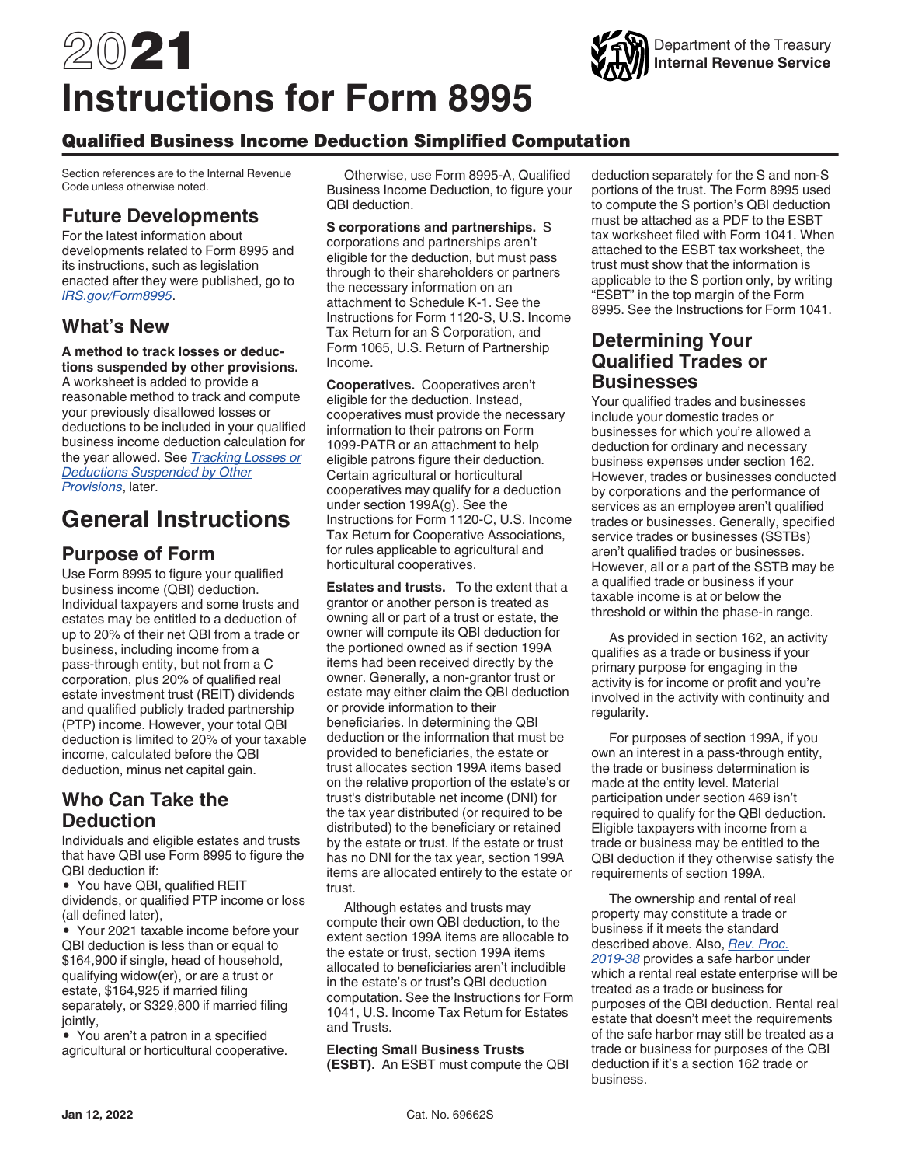# 2021 **Instructions for Form 8995**

# Qualified Business Income Deduction Simplified Computation

Section references are to the Internal Revenue Code unless otherwise noted.

# **Future Developments**

For the latest information about developments related to Form 8995 and its instructions, such as legislation enacted after they were published, go to *[IRS.gov/Form8995](https://www.irs.gov/form8995)*.

# **What's New**

**A method to track losses or deductions suspended by other provisions.**  A worksheet is added to provide a reasonable method to track and compute your previously disallowed losses or deductions to be included in your qualified business income deduction calculation for the year allowed. See *Tracking Losses or Deductions Suspended by Other Provisions*, later.

# **General Instructions**

# **Purpose of Form**

Use Form 8995 to figure your qualified business income (QBI) deduction. Individual taxpayers and some trusts and estates may be entitled to a deduction of up to 20% of their net QBI from a trade or business, including income from a pass-through entity, but not from a C corporation, plus 20% of qualified real estate investment trust (REIT) dividends and qualified publicly traded partnership (PTP) income. However, your total QBI deduction is limited to 20% of your taxable income, calculated before the QBI deduction, minus net capital gain.

# **Who Can Take the Deduction**

Individuals and eligible estates and trusts that have QBI use Form 8995 to figure the QBI deduction if:

• You have QBI, qualified REIT dividends, or qualified PTP income or loss (all defined later),

• Your 2021 taxable income before your QBI deduction is less than or equal to \$164,900 if single, head of household, qualifying widow(er), or are a trust or estate, \$164,925 if married filing separately, or \$329,800 if married filing jointly,

• You aren't a patron in a specified agricultural or horticultural cooperative.

Otherwise, use Form 8995-A, Qualified Business Income Deduction, to figure your QBI deduction.

**S corporations and partnerships.** S corporations and partnerships aren't eligible for the deduction, but must pass through to their shareholders or partners the necessary information on an attachment to Schedule K-1. See the Instructions for Form 1120-S, U.S. Income Tax Return for an S Corporation, and Form 1065, U.S. Return of Partnership Income.

**Cooperatives.** Cooperatives aren't eligible for the deduction. Instead, cooperatives must provide the necessary information to their patrons on Form 1099-PATR or an attachment to help eligible patrons figure their deduction. Certain agricultural or horticultural cooperatives may qualify for a deduction under section 199A(g). See the Instructions for Form 1120-C, U.S. Income Tax Return for Cooperative Associations, for rules applicable to agricultural and horticultural cooperatives.

**Estates and trusts.** To the extent that a grantor or another person is treated as owning all or part of a trust or estate, the owner will compute its QBI deduction for the portioned owned as if section 199A items had been received directly by the owner. Generally, a non-grantor trust or estate may either claim the QBI deduction or provide information to their beneficiaries. In determining the QBI deduction or the information that must be provided to beneficiaries, the estate or trust allocates section 199A items based on the relative proportion of the estate's or trust's distributable net income (DNI) for the tax year distributed (or required to be distributed) to the beneficiary or retained by the estate or trust. If the estate or trust has no DNI for the tax year, section 199A items are allocated entirely to the estate or trust.

Although estates and trusts may compute their own QBI deduction, to the extent section 199A items are allocable to the estate or trust, section 199A items allocated to beneficiaries aren't includible in the estate's or trust's QBI deduction computation. See the Instructions for Form 1041, U.S. Income Tax Return for Estates and Trusts.

**Electing Small Business Trusts (ESBT).** An ESBT must compute the QBI deduction separately for the S and non-S portions of the trust. The Form 8995 used to compute the S portion's QBI deduction must be attached as a PDF to the ESBT tax worksheet filed with Form 1041. When attached to the ESBT tax worksheet, the trust must show that the information is applicable to the S portion only, by writing "ESBT" in the top margin of the Form 8995. See the Instructions for Form 1041.

## **Determining Your Qualified Trades or Businesses**

Your qualified trades and businesses include your domestic trades or businesses for which you're allowed a deduction for ordinary and necessary business expenses under section 162. However, trades or businesses conducted by corporations and the performance of services as an employee aren't qualified trades or businesses. Generally, specified service trades or businesses (SSTBs) aren't qualified trades or businesses. However, all or a part of the SSTB may be a qualified trade or business if your taxable income is at or below the threshold or within the phase-in range.

As provided in section 162, an activity qualifies as a trade or business if your primary purpose for engaging in the activity is for income or profit and you're involved in the activity with continuity and regularity.

For purposes of section 199A, if you own an interest in a pass-through entity, the trade or business determination is made at the entity level. Material participation under section 469 isn't required to qualify for the QBI deduction. Eligible taxpayers with income from a trade or business may be entitled to the QBI deduction if they otherwise satisfy the requirements of section 199A.

The ownership and rental of real property may constitute a trade or business if it meets the standard described above. Also, *[Rev. Proc.](https://www.irs.gov/pub/irs-drop/rp-19-38.pdf) [2019-38](https://www.irs.gov/pub/irs-drop/rp-19-38.pdf)* provides a safe harbor under which a rental real estate enterprise will be treated as a trade or business for purposes of the QBI deduction. Rental real estate that doesn't meet the requirements of the safe harbor may still be treated as a trade or business for purposes of the QBI deduction if it's a section 162 trade or business.

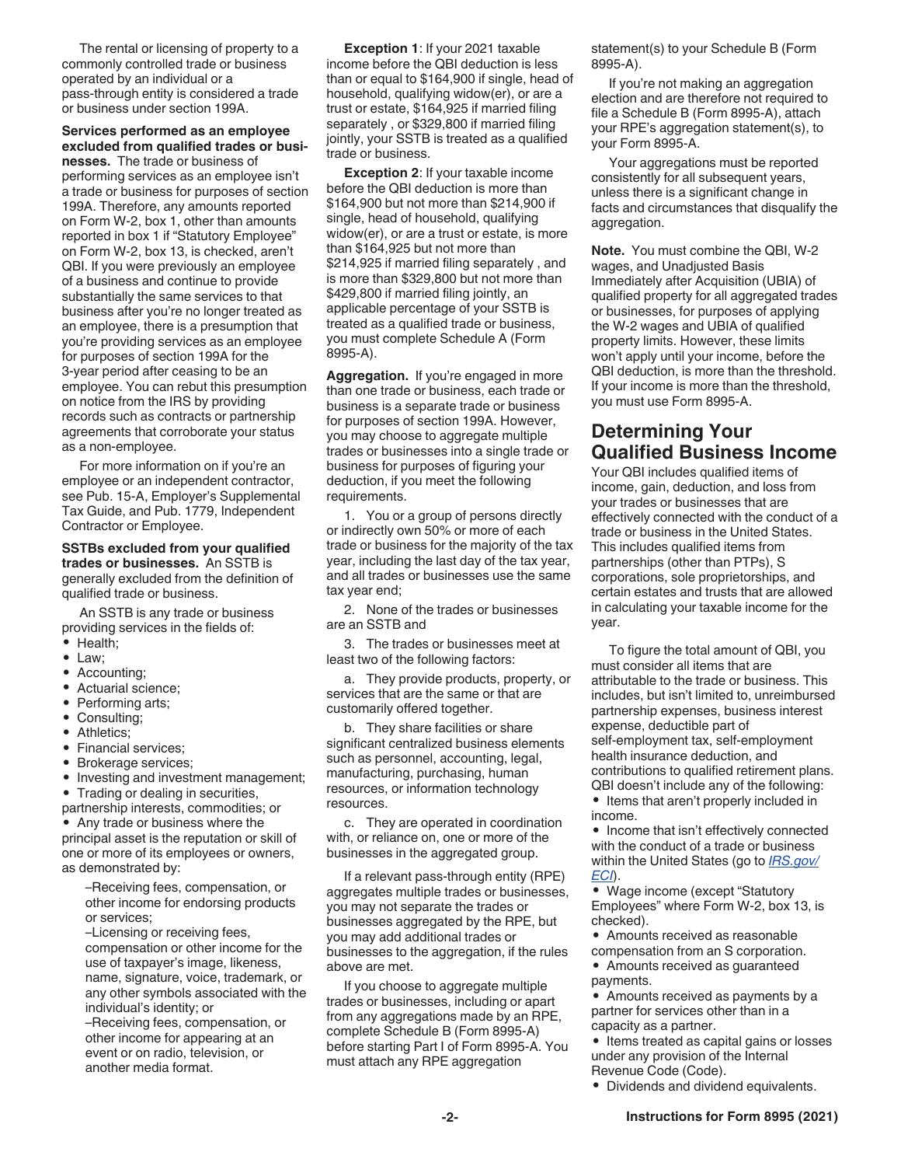The rental or licensing of property to a commonly controlled trade or business operated by an individual or a pass-through entity is considered a trade or business under section 199A.

#### **Services performed as an employee excluded from qualified trades or busi-**

**nesses.** The trade or business of performing services as an employee isn't a trade or business for purposes of section 199A. Therefore, any amounts reported on Form W-2, box 1, other than amounts reported in box 1 if "Statutory Employee" on Form W-2, box 13, is checked, aren't QBI. If you were previously an employee of a business and continue to provide substantially the same services to that business after you're no longer treated as an employee, there is a presumption that you're providing services as an employee for purposes of section 199A for the 3-year period after ceasing to be an employee. You can rebut this presumption on notice from the IRS by providing records such as contracts or partnership agreements that corroborate your status as a non-employee.

For more information on if you're an employee or an independent contractor, see Pub. 15-A, Employer's Supplemental Tax Guide, and Pub. 1779, Independent Contractor or Employee.

#### **SSTBs excluded from your qualified trades or businesses.** An SSTB is generally excluded from the definition of qualified trade or business.

An SSTB is any trade or business providing services in the fields of: • Health;

- Law;
- Accounting;
- Actuarial science;
- Performing arts;
- Consulting;
- Athletics;
- Financial services;
- Brokerage services;
- 
- Investing and investment management;<br>• Trading or dealing in securities • Trading or dealing in securities,

partnership interests, commodities; or

• Any trade or business where the principal asset is the reputation or skill of one or more of its employees or owners, as demonstrated by:

–Receiving fees, compensation, or other income for endorsing products or services;

–Licensing or receiving fees, compensation or other income for the use of taxpayer's image, likeness, name, signature, voice, trademark, or any other symbols associated with the individual's identity; or

–Receiving fees, compensation, or other income for appearing at an event or on radio, television, or another media format.

**Exception 1**: If your 2021 taxable income before the QBI deduction is less than or equal to \$164,900 if single, head of household, qualifying widow(er), or are a trust or estate, \$164,925 if married filing separately , or \$329,800 if married filing jointly, your SSTB is treated as a qualified trade or business.

**Exception 2**: If your taxable income before the QBI deduction is more than \$164,900 but not more than \$214,900 if single, head of household, qualifying widow(er), or are a trust or estate, is more than \$164,925 but not more than \$214,925 if married filing separately , and is more than \$329,800 but not more than \$429,800 if married filing jointly, an applicable percentage of your SSTB is treated as a qualified trade or business, you must complete Schedule A (Form 8995-A).

**Aggregation.** If you're engaged in more than one trade or business, each trade or business is a separate trade or business for purposes of section 199A. However, you may choose to aggregate multiple trades or businesses into a single trade or business for purposes of figuring your deduction, if you meet the following requirements.

1. You or a group of persons directly or indirectly own 50% or more of each trade or business for the majority of the tax year, including the last day of the tax year, and all trades or businesses use the same tax year end;

2. None of the trades or businesses are an SSTB and

3. The trades or businesses meet at least two of the following factors:

a. They provide products, property, or services that are the same or that are customarily offered together.

b. They share facilities or share significant centralized business elements such as personnel, accounting, legal, manufacturing, purchasing, human resources, or information technology resources.

c. They are operated in coordination with, or reliance on, one or more of the businesses in the aggregated group.

If a relevant pass-through entity (RPE) aggregates multiple trades or businesses, you may not separate the trades or businesses aggregated by the RPE, but you may add additional trades or businesses to the aggregation, if the rules above are met.

If you choose to aggregate multiple trades or businesses, including or apart from any aggregations made by an RPE, complete Schedule B (Form 8995-A) before starting Part I of Form 8995-A. You must attach any RPE aggregation

statement(s) to your Schedule B (Form 8995-A).

If you're not making an aggregation election and are therefore not required to file a Schedule B (Form 8995-A), attach your RPE's aggregation statement(s), to your Form 8995-A.

Your aggregations must be reported consistently for all subsequent years, unless there is a significant change in facts and circumstances that disqualify the aggregation.

**Note.** You must combine the QBI, W-2 wages, and Unadjusted Basis Immediately after Acquisition (UBIA) of qualified property for all aggregated trades or businesses, for purposes of applying the W-2 wages and UBIA of qualified property limits. However, these limits won't apply until your income, before the QBI deduction, is more than the threshold. If your income is more than the threshold, you must use Form 8995-A.

# **Determining Your Qualified Business Income**

Your QBI includes qualified items of income, gain, deduction, and loss from your trades or businesses that are effectively connected with the conduct of a trade or business in the United States. This includes qualified items from partnerships (other than PTPs), S corporations, sole proprietorships, and certain estates and trusts that are allowed in calculating your taxable income for the year.

To figure the total amount of QBI, you must consider all items that are attributable to the trade or business. This includes, but isn't limited to, unreimbursed partnership expenses, business interest expense, deductible part of self-employment tax, self-employment health insurance deduction, and contributions to qualified retirement plans. QBI doesn't include any of the following: • Items that aren't properly included in income.

• Income that isn't effectively connected with the conduct of a trade or business within the United States (go to *[IRS.gov/](https://www.irs.gov/ECI) [ECI](https://www.irs.gov/ECI)*).

• Wage income (except "Statutory Employees" where Form W-2, box 13, is checked).

- Amounts received as reasonable
- compensation from an S corporation. • Amounts received as guaranteed
- payments.

• Amounts received as payments by a partner for services other than in a capacity as a partner.

• Items treated as capital gains or losses under any provision of the Internal Revenue Code (Code).

• Dividends and dividend equivalents.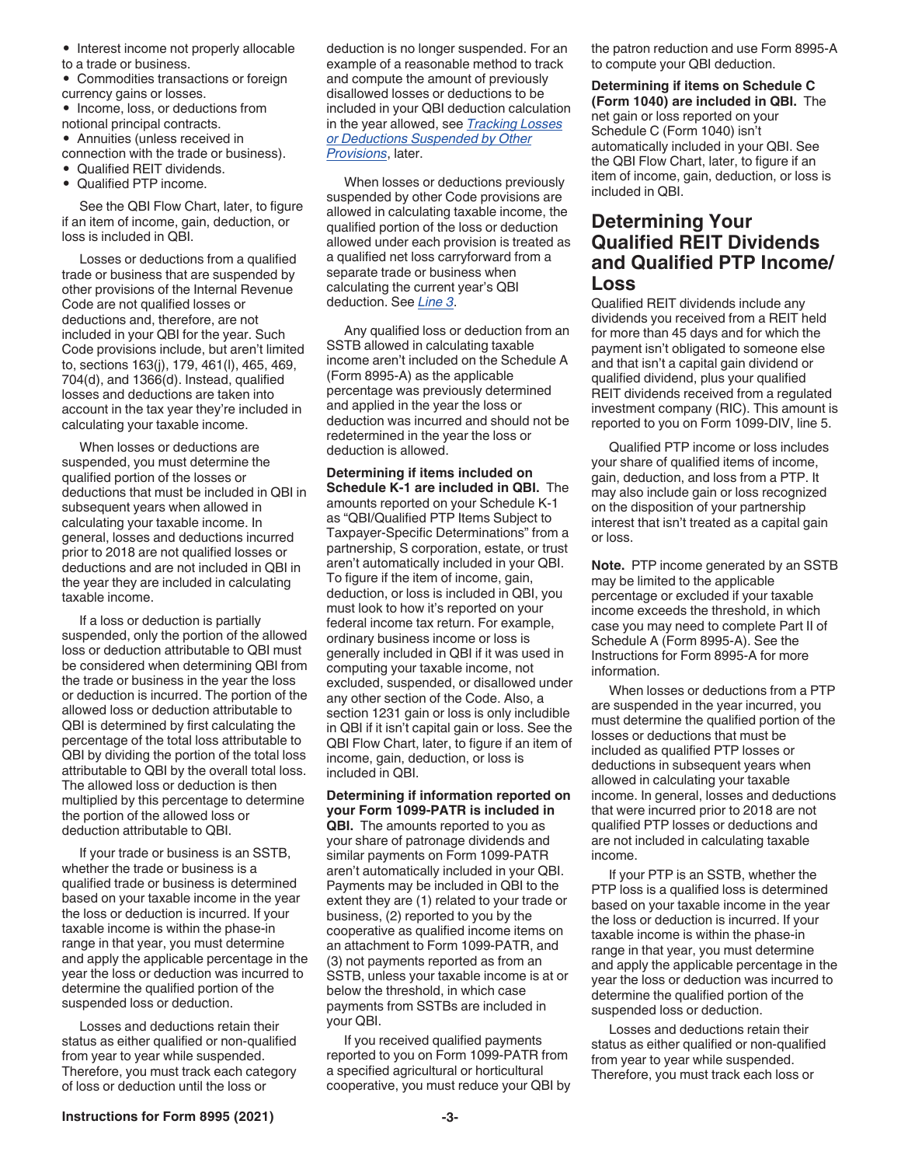- Interest income not properly allocable to a trade or business.
- Commodities transactions or foreign currency gains or losses.
- Income, loss, or deductions from notional principal contracts.
- Annuities (unless received in connection with the trade or business).
- Qualified REIT dividends.
- Qualified PTP income.

See the QBI Flow Chart, later, to figure if an item of income, gain, deduction, or loss is included in QBI.

Losses or deductions from a qualified trade or business that are suspended by other provisions of the Internal Revenue Code are not qualified losses or deductions and, therefore, are not included in your QBI for the year. Such Code provisions include, but aren't limited to, sections 163(j), 179, 461(l), 465, 469, 704(d), and 1366(d). Instead, qualified losses and deductions are taken into account in the tax year they're included in calculating your taxable income.

When losses or deductions are suspended, you must determine the qualified portion of the losses or deductions that must be included in QBI in subsequent years when allowed in calculating your taxable income. In general, losses and deductions incurred prior to 2018 are not qualified losses or deductions and are not included in QBI in the year they are included in calculating taxable income.

If a loss or deduction is partially suspended, only the portion of the allowed loss or deduction attributable to QBI must be considered when determining QBI from the trade or business in the year the loss or deduction is incurred. The portion of the allowed loss or deduction attributable to QBI is determined by first calculating the percentage of the total loss attributable to QBI by dividing the portion of the total loss attributable to QBI by the overall total loss. The allowed loss or deduction is then multiplied by this percentage to determine the portion of the allowed loss or deduction attributable to QBI.

If your trade or business is an SSTB, whether the trade or business is a qualified trade or business is determined based on your taxable income in the year the loss or deduction is incurred. If your taxable income is within the phase-in range in that year, you must determine and apply the applicable percentage in the year the loss or deduction was incurred to determine the qualified portion of the suspended loss or deduction.

Losses and deductions retain their status as either qualified or non-qualified from year to year while suspended. Therefore, you must track each category of loss or deduction until the loss or

deduction is no longer suspended. For an example of a reasonable method to track and compute the amount of previously disallowed losses or deductions to be included in your QBI deduction calculation in the year allowed, see *Tracking Losses or Deductions Suspended by Other Provisions*, later.

When losses or deductions previously suspended by other Code provisions are allowed in calculating taxable income, the qualified portion of the loss or deduction allowed under each provision is treated as a qualified net loss carryforward from a separate trade or business when calculating the current year's QBI deduction. See *Line 3*.

Any qualified loss or deduction from an SSTB allowed in calculating taxable income aren't included on the Schedule A (Form 8995-A) as the applicable percentage was previously determined and applied in the year the loss or deduction was incurred and should not be redetermined in the year the loss or deduction is allowed.

**Determining if items included on Schedule K-1 are included in QBI.** The amounts reported on your Schedule K-1 as "QBI/Qualified PTP Items Subject to Taxpayer-Specific Determinations" from a partnership, S corporation, estate, or trust aren't automatically included in your QBI. To figure if the item of income, gain, deduction, or loss is included in QBI, you must look to how it's reported on your federal income tax return. For example, ordinary business income or loss is generally included in QBI if it was used in computing your taxable income, not excluded, suspended, or disallowed under any other section of the Code. Also, a section 1231 gain or loss is only includible in QBI if it isn't capital gain or loss. See the QBI Flow Chart, later, to figure if an item of income, gain, deduction, or loss is included in QBI.

#### **Determining if information reported on your Form 1099-PATR is included in**

**QBI.** The amounts reported to you as your share of patronage dividends and similar payments on Form 1099-PATR aren't automatically included in your QBI. Payments may be included in QBI to the extent they are (1) related to your trade or business, (2) reported to you by the cooperative as qualified income items on an attachment to Form 1099-PATR, and (3) not payments reported as from an SSTB, unless your taxable income is at or below the threshold, in which case payments from SSTBs are included in your QBI.

If you received qualified payments reported to you on Form 1099-PATR from a specified agricultural or horticultural cooperative, you must reduce your QBI by the patron reduction and use Form 8995-A to compute your QBI deduction.

**Determining if items on Schedule C (Form 1040) are included in QBI.** The net gain or loss reported on your Schedule C (Form 1040) isn't automatically included in your QBI. See the QBI Flow Chart, later, to figure if an item of income, gain, deduction, or loss is included in QBI.

## **Determining Your Qualified REIT Dividends and Qualified PTP Income/ Loss**

Qualified REIT dividends include any dividends you received from a REIT held for more than 45 days and for which the payment isn't obligated to someone else and that isn't a capital gain dividend or qualified dividend, plus your qualified REIT dividends received from a regulated investment company (RIC). This amount is reported to you on Form 1099-DIV, line 5.

Qualified PTP income or loss includes your share of qualified items of income, gain, deduction, and loss from a PTP. It may also include gain or loss recognized on the disposition of your partnership interest that isn't treated as a capital gain or loss.

**Note.** PTP income generated by an SSTB may be limited to the applicable percentage or excluded if your taxable income exceeds the threshold, in which case you may need to complete Part II of Schedule A (Form 8995-A). See the Instructions for Form 8995-A for more information.

When losses or deductions from a PTP are suspended in the year incurred, you must determine the qualified portion of the losses or deductions that must be included as qualified PTP losses or deductions in subsequent years when allowed in calculating your taxable income. In general, losses and deductions that were incurred prior to 2018 are not qualified PTP losses or deductions and are not included in calculating taxable income.

If your PTP is an SSTB, whether the PTP loss is a qualified loss is determined based on your taxable income in the year the loss or deduction is incurred. If your taxable income is within the phase-in range in that year, you must determine and apply the applicable percentage in the year the loss or deduction was incurred to determine the qualified portion of the suspended loss or deduction.

Losses and deductions retain their status as either qualified or non-qualified from year to year while suspended. Therefore, you must track each loss or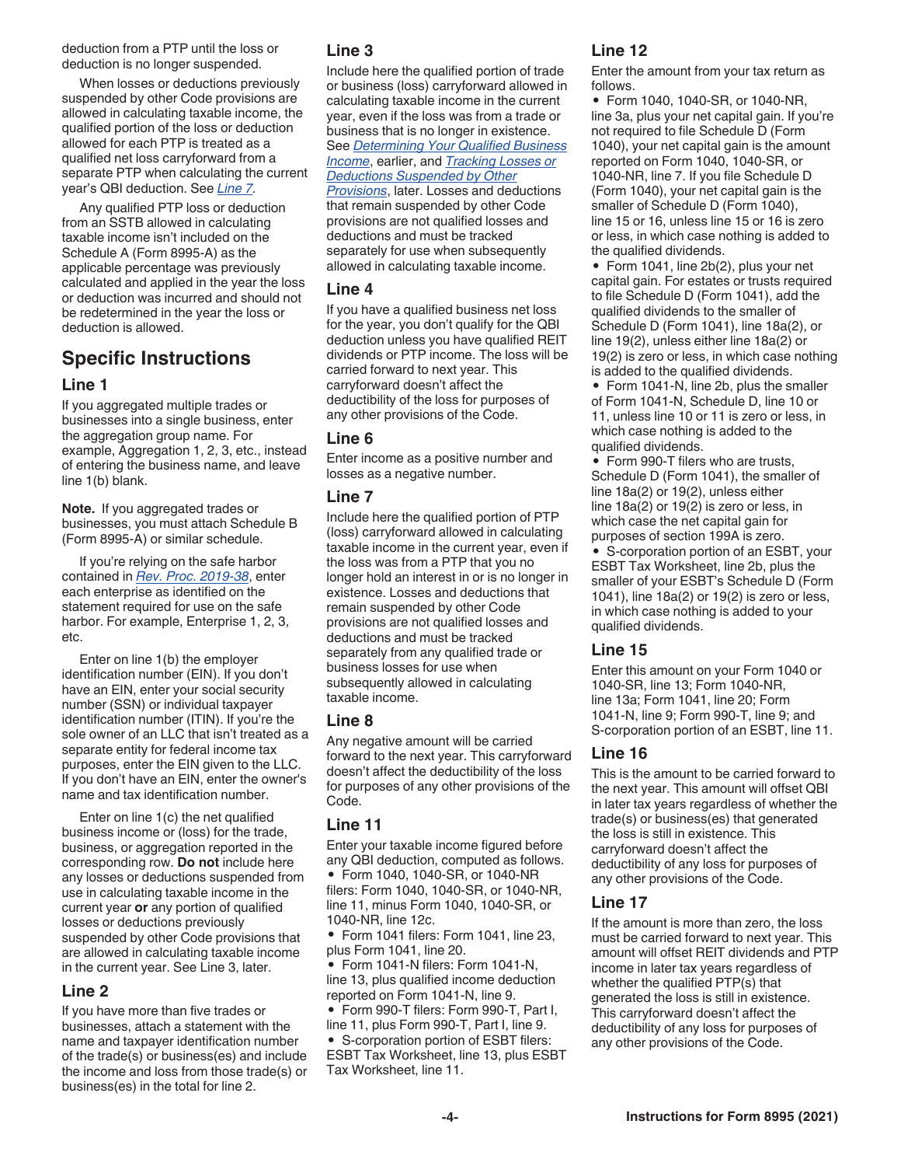deduction from a PTP until the loss or deduction is no longer suspended.

When losses or deductions previously suspended by other Code provisions are allowed in calculating taxable income, the qualified portion of the loss or deduction allowed for each PTP is treated as a qualified net loss carryforward from a separate PTP when calculating the current year's QBI deduction. See *Line 7.*

Any qualified PTP loss or deduction from an SSTB allowed in calculating taxable income isn't included on the Schedule A (Form 8995-A) as the applicable percentage was previously calculated and applied in the year the loss or deduction was incurred and should not be redetermined in the year the loss or deduction is allowed.

# **Specific Instructions**

#### **Line 1**

If you aggregated multiple trades or businesses into a single business, enter the aggregation group name. For example, Aggregation 1, 2, 3, etc., instead of entering the business name, and leave line 1(b) blank.

**Note.** If you aggregated trades or businesses, you must attach Schedule B (Form 8995-A) or similar schedule.

If you're relying on the safe harbor contained in *[Rev. Proc. 2019-38](https://www.irs.gov/pub/irs-drop/rp-19-38.pdf)*, enter each enterprise as identified on the statement required for use on the safe harbor. For example, Enterprise 1, 2, 3, etc.

Enter on line 1(b) the employer identification number (EIN). If you don't have an EIN, enter your social security number (SSN) or individual taxpayer identification number (ITIN). If you're the sole owner of an LLC that isn't treated as a separate entity for federal income tax purposes, enter the EIN given to the LLC. If you don't have an EIN, enter the owner's name and tax identification number.

Enter on line 1(c) the net qualified business income or (loss) for the trade, business, or aggregation reported in the corresponding row. **Do not** include here any losses or deductions suspended from use in calculating taxable income in the current year **or** any portion of qualified losses or deductions previously suspended by other Code provisions that are allowed in calculating taxable income in the current year. See Line 3, later.

#### **Line 2**

If you have more than five trades or businesses, attach a statement with the name and taxpayer identification number of the trade(s) or business(es) and include the income and loss from those trade(s) or business(es) in the total for line 2.

#### **Line 3**

Include here the qualified portion of trade or business (loss) carryforward allowed in calculating taxable income in the current year, even if the loss was from a trade or business that is no longer in existence. See *Determining Your Qualified Business Income*, earlier, and *Tracking Losses or Deductions Suspended by Other Provisions*, later. Losses and deductions that remain suspended by other Code provisions are not qualified losses and deductions and must be tracked separately for use when subsequently allowed in calculating taxable income.

#### **Line 4**

If you have a qualified business net loss for the year, you don't qualify for the QBI deduction unless you have qualified REIT dividends or PTP income. The loss will be carried forward to next year. This carryforward doesn't affect the deductibility of the loss for purposes of any other provisions of the Code.

#### **Line 6**

Enter income as a positive number and losses as a negative number.

#### **Line 7**

Include here the qualified portion of PTP (loss) carryforward allowed in calculating taxable income in the current year, even if the loss was from a PTP that you no longer hold an interest in or is no longer in existence. Losses and deductions that remain suspended by other Code provisions are not qualified losses and deductions and must be tracked separately from any qualified trade or business losses for use when subsequently allowed in calculating taxable income.

#### **Line 8**

Any negative amount will be carried forward to the next year. This carryforward doesn't affect the deductibility of the loss for purposes of any other provisions of the Code.

#### **Line 11**

Enter your taxable income figured before any QBI deduction, computed as follows. • Form 1040, 1040-SR, or 1040-NR filers: Form 1040, 1040-SR, or 1040-NR, line 11, minus Form 1040, 1040-SR, or 1040-NR, line 12c.

• Form 1041 filers: Form 1041, line 23, plus Form 1041, line 20.

• Form 1041-N filers: Form 1041-N, line 13, plus qualified income deduction reported on Form 1041-N, line 9.

• Form 990-T filers: Form 990-T, Part I, line 11, plus Form 990-T, Part I, line 9.

• S-corporation portion of ESBT filers: ESBT Tax Worksheet, line 13, plus ESBT Tax Worksheet, line 11.

## **Line 12**

Enter the amount from your tax return as follows.

• Form 1040, 1040-SR, or 1040-NR, line 3a, plus your net capital gain. If you're not required to file Schedule D (Form 1040), your net capital gain is the amount reported on Form 1040, 1040-SR, or 1040-NR, line 7. If you file Schedule D (Form 1040), your net capital gain is the smaller of Schedule D (Form 1040), line 15 or 16, unless line 15 or 16 is zero or less, in which case nothing is added to the qualified dividends.

• Form 1041, line 2b(2), plus your net capital gain. For estates or trusts required to file Schedule D (Form 1041), add the qualified dividends to the smaller of Schedule D (Form 1041), line 18a(2), or line 19(2), unless either line 18a(2) or 19(2) is zero or less, in which case nothing is added to the qualified dividends.

• Form 1041-N, line 2b, plus the smaller of Form 1041-N, Schedule D, line 10 or 11, unless line 10 or 11 is zero or less, in which case nothing is added to the qualified dividends.

• Form 990-T filers who are trusts, Schedule D (Form 1041), the smaller of line 18a(2) or 19(2), unless either line 18a(2) or 19(2) is zero or less, in which case the net capital gain for purposes of section 199A is zero.

• S-corporation portion of an ESBT, your ESBT Tax Worksheet, line 2b, plus the smaller of your ESBT's Schedule D (Form 1041), line 18a(2) or 19(2) is zero or less, in which case nothing is added to your qualified dividends.

#### **Line 15**

Enter this amount on your Form 1040 or 1040-SR, line 13; Form 1040-NR, line 13a; Form 1041, line 20; Form 1041-N, line 9; Form 990-T, line 9; and S-corporation portion of an ESBT, line 11.

#### **Line 16**

This is the amount to be carried forward to the next year. This amount will offset QBI in later tax years regardless of whether the trade(s) or business(es) that generated the loss is still in existence. This carryforward doesn't affect the deductibility of any loss for purposes of any other provisions of the Code.

#### **Line 17**

If the amount is more than zero, the loss must be carried forward to next year. This amount will offset REIT dividends and PTP income in later tax years regardless of whether the qualified PTP(s) that generated the loss is still in existence. This carryforward doesn't affect the deductibility of any loss for purposes of any other provisions of the Code.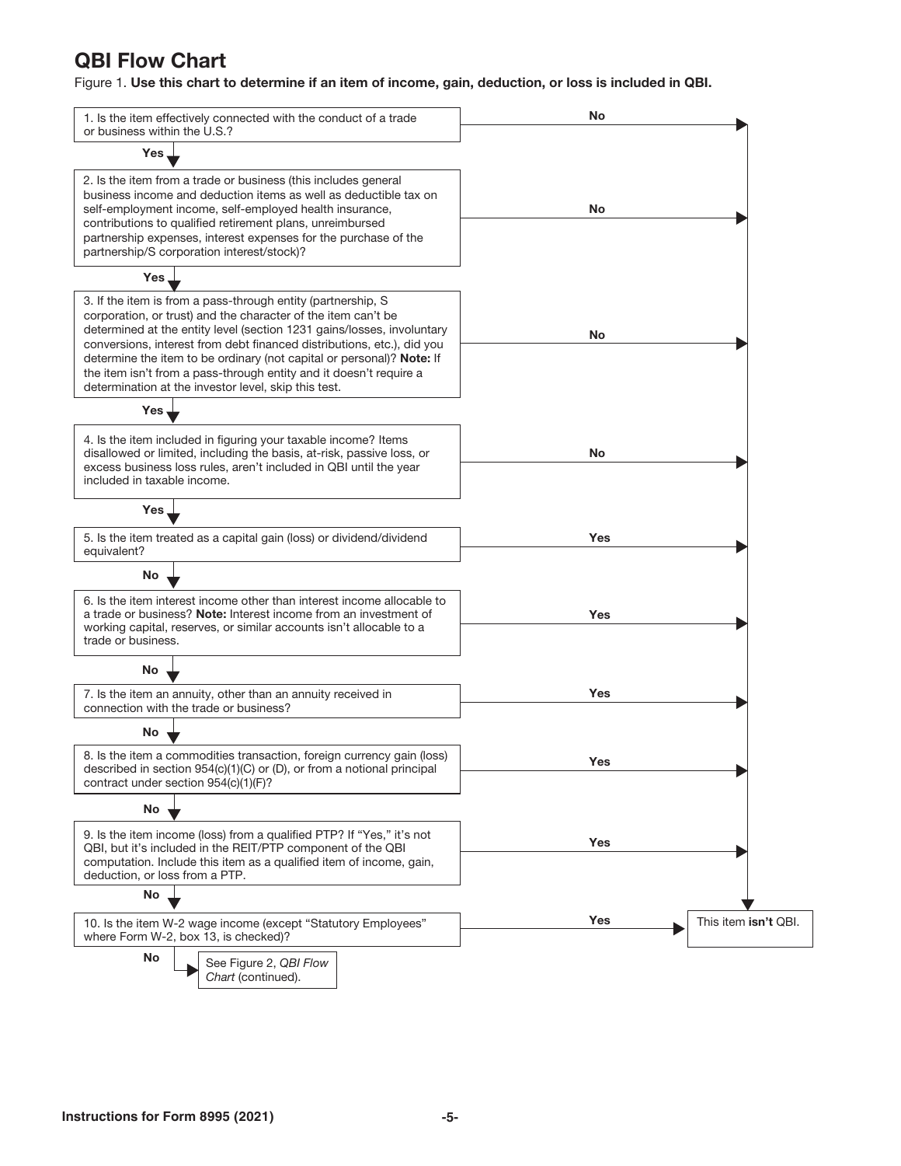# QBI Flow Chart

Figure 1. Use this chart to determine if an item of income, gain, deduction, or loss is included in QBI.

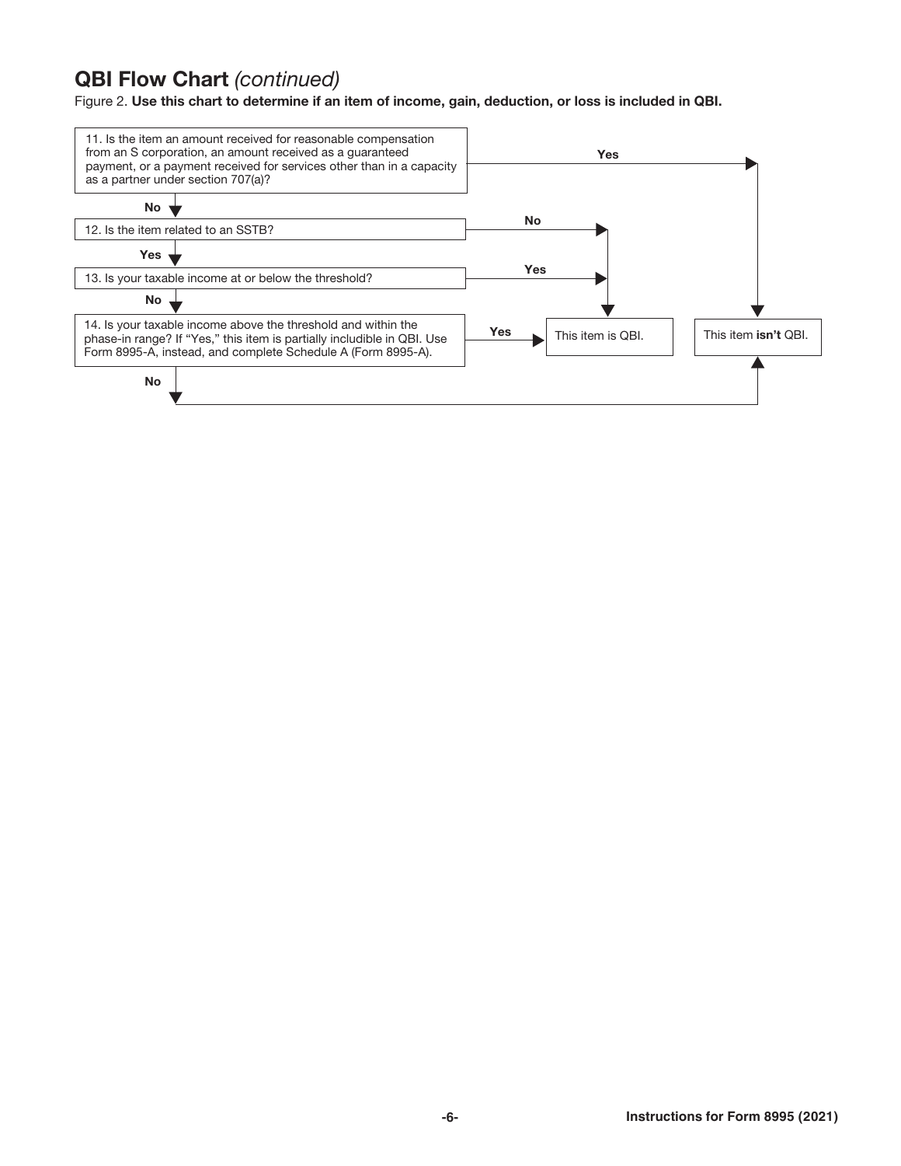# QBI Flow Chart *(continued)*

Figure 2. Use this chart to determine if an item of income, gain, deduction, or loss is included in QBI.

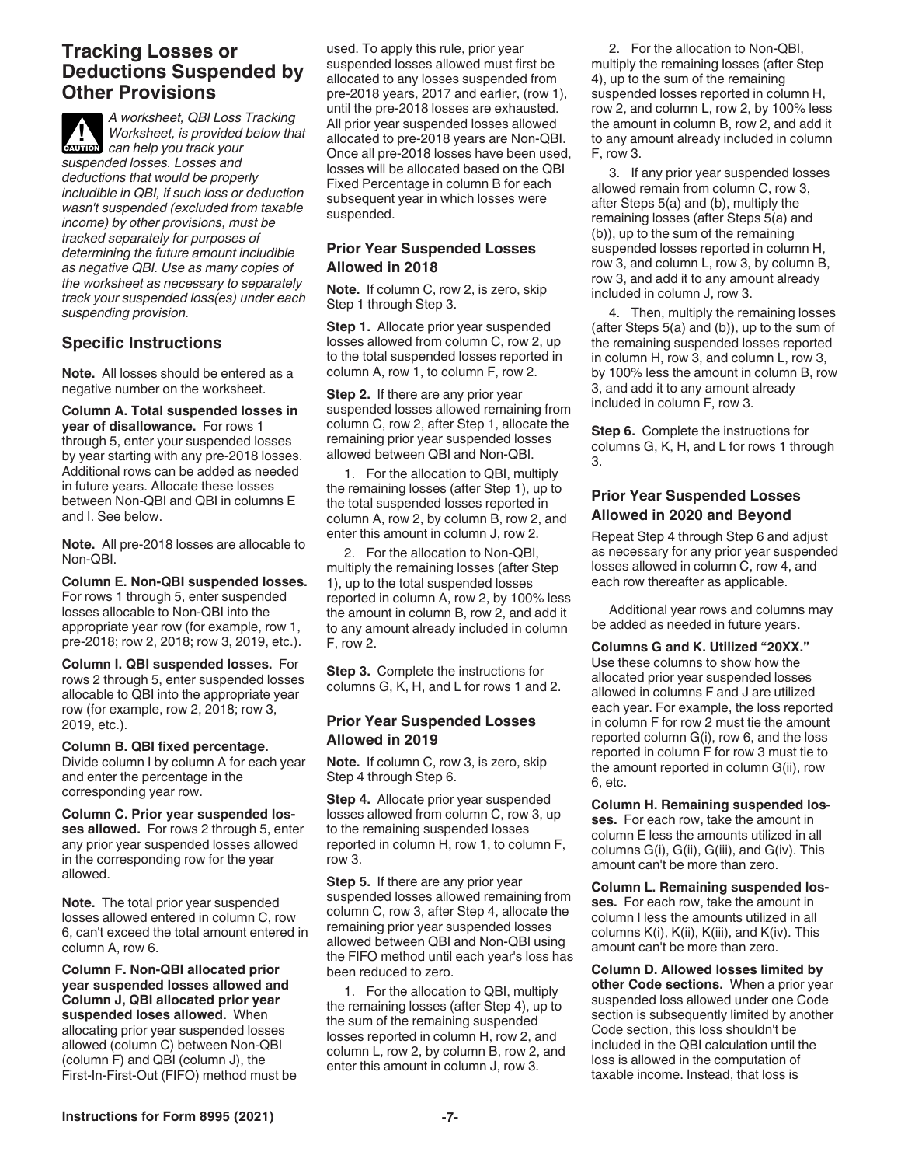## **Tracking Losses or Deductions Suspended by Other Provisions**

*A worksheet, QBI Loss Tracking Worksheet, is provided below that*  **CAUTION**<br> **CAUTION**<br> **CAUTION**<br> **CAUTION** *CAN* **CAUTION** *suspended losses. Losses and deductions that would be properly includible in QBI, if such loss or deduction wasn't suspended (excluded from taxable income) by other provisions, must be tracked separately for purposes of determining the future amount includible as negative QBI. Use as many copies of the worksheet as necessary to separately track your suspended loss(es) under each suspending provision.*

### **Specific Instructions**

**Note.** All losses should be entered as a negative number on the worksheet.

**Column A. Total suspended losses in year of disallowance.** For rows 1 through 5, enter your suspended losses by year starting with any pre-2018 losses. Additional rows can be added as needed in future years. Allocate these losses between Non-QBI and QBI in columns E and I. See below.

**Note.** All pre-2018 losses are allocable to Non-QBI.

**Column E. Non-QBI suspended losses.**  For rows 1 through 5, enter suspended losses allocable to Non-QBI into the appropriate year row (for example, row 1, pre-2018; row 2, 2018; row 3, 2019, etc.).

**Column I. QBI suspended losses.** For rows 2 through 5, enter suspended losses allocable to QBI into the appropriate year row (for example, row 2, 2018; row 3, 2019, etc.).

**Column B. QBI fixed percentage.**  Divide column I by column A for each year and enter the percentage in the corresponding year row.

**Column C. Prior year suspended losses allowed.** For rows 2 through 5, enter any prior year suspended losses allowed in the corresponding row for the year allowed.

**Note.** The total prior year suspended losses allowed entered in column C, row 6, can't exceed the total amount entered in column A, row 6.

**Column F. Non-QBI allocated prior year suspended losses allowed and Column J, QBI allocated prior year suspended loses allowed.** When allocating prior year suspended losses allowed (column C) between Non-QBI (column F) and QBI (column J), the First-In-First-Out (FIFO) method must be used. To apply this rule, prior year suspended losses allowed must first be allocated to any losses suspended from pre-2018 years, 2017 and earlier, (row 1), until the pre-2018 losses are exhausted. All prior year suspended losses allowed allocated to pre-2018 years are Non-QBI. Once all pre-2018 losses have been used, losses will be allocated based on the QBI Fixed Percentage in column B for each subsequent year in which losses were suspended.

#### **Prior Year Suspended Losses Allowed in 2018**

**Note.** If column C, row 2, is zero, skip Step 1 through Step 3.

**Step 1.** Allocate prior year suspended losses allowed from column C, row 2, up to the total suspended losses reported in column A, row 1, to column F, row 2.

**Step 2.** If there are any prior year suspended losses allowed remaining from column C, row 2, after Step 1, allocate the remaining prior year suspended losses allowed between QBI and Non-QBI.

1. For the allocation to QBI, multiply the remaining losses (after Step 1), up to the total suspended losses reported in column A, row 2, by column B, row 2, and enter this amount in column J, row 2.

2. For the allocation to Non-QBI, multiply the remaining losses (after Step 1), up to the total suspended losses reported in column A, row 2, by 100% less the amount in column B, row 2, and add it to any amount already included in column F, row 2.

**Step 3.** Complete the instructions for columns G, K, H, and L for rows 1 and 2.

#### **Prior Year Suspended Losses Allowed in 2019**

**Note.** If column C, row 3, is zero, skip Step 4 through Step 6.

**Step 4.** Allocate prior year suspended losses allowed from column C, row 3, up to the remaining suspended losses reported in column H, row 1, to column F, row 3.

**Step 5.** If there are any prior year suspended losses allowed remaining from column C, row 3, after Step 4, allocate the remaining prior year suspended losses allowed between QBI and Non-QBI using the FIFO method until each year's loss has been reduced to zero.

1. For the allocation to QBI, multiply the remaining losses (after Step 4), up to the sum of the remaining suspended losses reported in column H, row 2, and column L, row 2, by column B, row 2, and enter this amount in column J, row 3.

2. For the allocation to Non-QBI, multiply the remaining losses (after Step 4), up to the sum of the remaining suspended losses reported in column H, row 2, and column L, row 2, by 100% less the amount in column B, row 2, and add it to any amount already included in column F, row 3.

3. If any prior year suspended losses allowed remain from column C, row 3, after Steps 5(a) and (b), multiply the remaining losses (after Steps 5(a) and (b)), up to the sum of the remaining suspended losses reported in column H, row 3, and column L, row 3, by column B, row 3, and add it to any amount already included in column J, row 3.

4. Then, multiply the remaining losses (after Steps 5(a) and (b)), up to the sum of the remaining suspended losses reported in column H, row 3, and column L, row 3, by 100% less the amount in column B, row 3, and add it to any amount already included in column F, row 3.

**Step 6.** Complete the instructions for columns G, K, H, and L for rows 1 through 3.

#### **Prior Year Suspended Losses Allowed in 2020 and Beyond**

Repeat Step 4 through Step 6 and adjust as necessary for any prior year suspended losses allowed in column C, row 4, and each row thereafter as applicable.

Additional year rows and columns may be added as needed in future years.

#### **Columns G and K. Utilized "20XX."**

Use these columns to show how the allocated prior year suspended losses allowed in columns F and J are utilized each year. For example, the loss reported in column F for row 2 must tie the amount reported column G(i), row 6, and the loss reported in column F for row 3 must tie to the amount reported in column G(ii), row 6, etc.

**Column H. Remaining suspended losses.** For each row, take the amount in column E less the amounts utilized in all columns G(i), G(ii), G(iii), and G(iv). This amount can't be more than zero.

**Column L. Remaining suspended losses.** For each row, take the amount in column I less the amounts utilized in all columns K(i), K(ii), K(iii), and K(iv). This amount can't be more than zero.

**Column D. Allowed losses limited by other Code sections.** When a prior year suspended loss allowed under one Code section is subsequently limited by another Code section, this loss shouldn't be included in the QBI calculation until the loss is allowed in the computation of taxable income. Instead, that loss is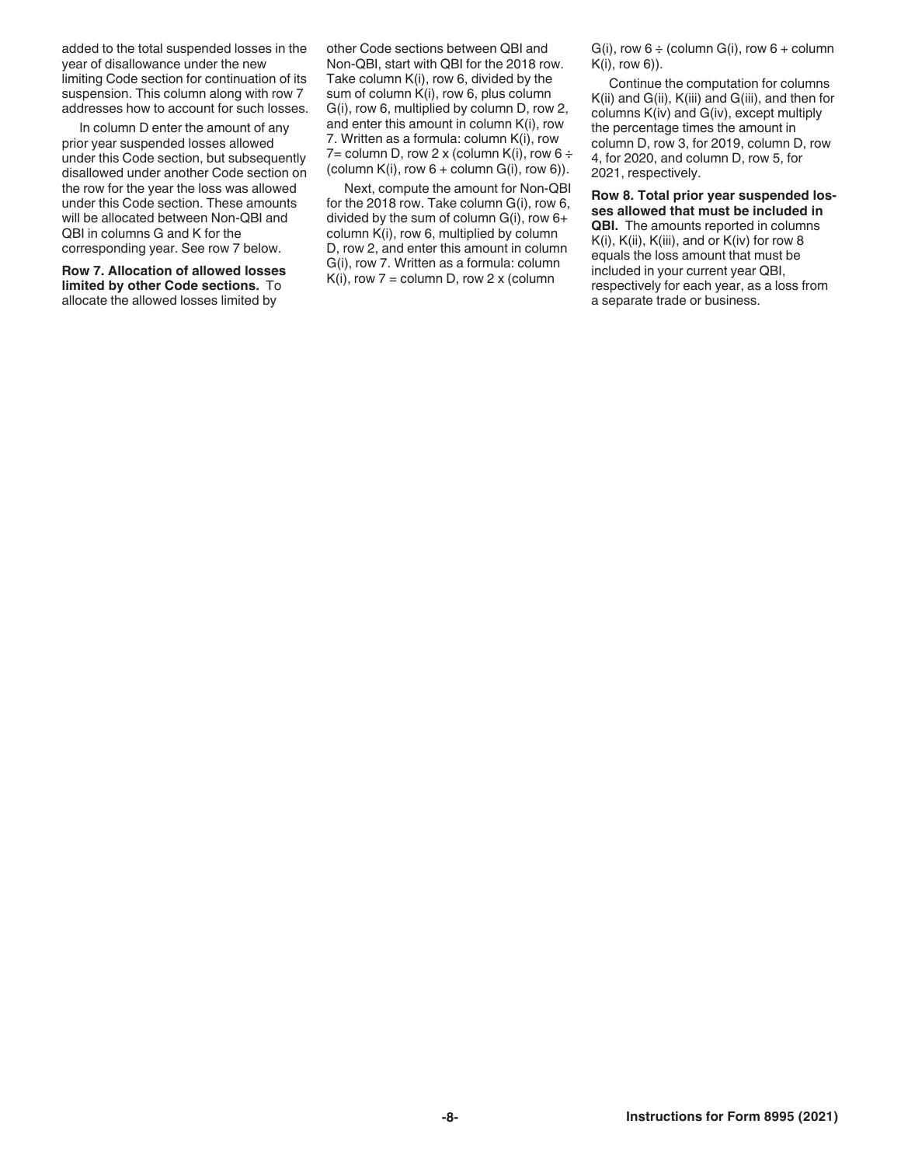added to the total suspended losses in the year of disallowance under the new limiting Code section for continuation of its suspension. This column along with row 7 addresses how to account for such losses.

In column D enter the amount of any prior year suspended losses allowed under this Code section, but subsequently disallowed under another Code section on the row for the year the loss was allowed under this Code section. These amounts will be allocated between Non-QBI and QBI in columns G and K for the corresponding year. See row 7 below.

**Row 7. Allocation of allowed losses limited by other Code sections.** To allocate the allowed losses limited by

other Code sections between QBI and Non-QBI, start with QBI for the 2018 row. Take column K(i), row 6, divided by the sum of column K(i), row 6, plus column G(i), row 6, multiplied by column D, row 2, and enter this amount in column K(i), row 7. Written as a formula: column K(i), row 7= column D, row 2 x (column K(i), row 6  $\div$ (column  $K(i)$ , row  $6 +$  column  $G(i)$ , row  $6$ )).

Next, compute the amount for Non-QBI for the 2018 row. Take column G(i), row 6, divided by the sum of column G(i), row 6+ column K(i), row 6, multiplied by column D, row 2, and enter this amount in column G(i), row 7. Written as a formula: column  $K(i)$ , row 7 = column D, row 2 x (column

 $G(i)$ , row  $6 \div$  (column  $G(i)$ , row  $6 +$  column K(i), row 6)).

Continue the computation for columns K(ii) and G(ii), K(iii) and G(iii), and then for columns K(iv) and G(iv), except multiply the percentage times the amount in column D, row 3, for 2019, column D, row 4, for 2020, and column D, row 5, for 2021, respectively.

**Row 8. Total prior year suspended losses allowed that must be included in QBI.** The amounts reported in columns K(i), K(ii), K(iii), and or K(iv) for row 8 equals the loss amount that must be included in your current year QBI, respectively for each year, as a loss from a separate trade or business.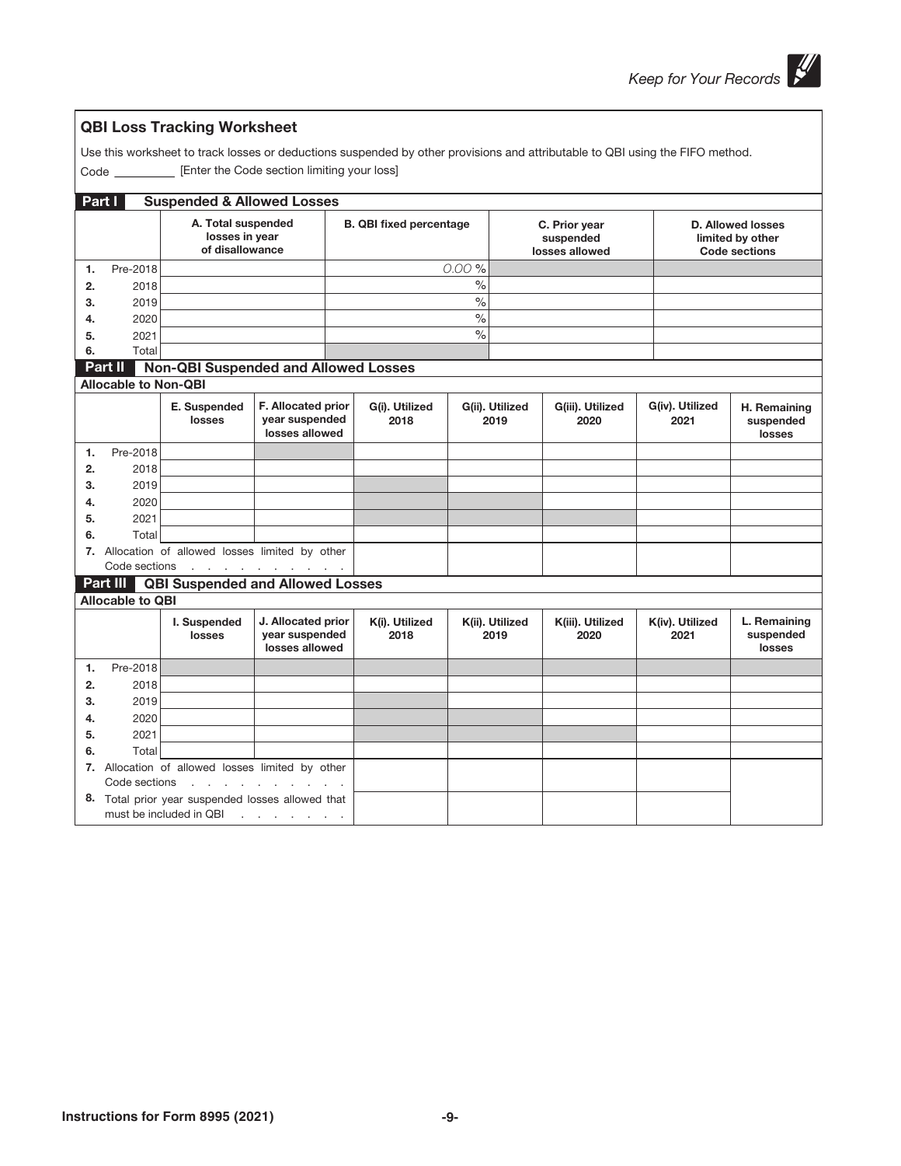| Use this worksheet to track losses or deductions suspended by other provisions and attributable to QBI using the FIFO method.<br>Code ____________ [Enter the Code section limiting your loss] |                                                                              |                                                         |                                                        |                                |                        |       |                                              |                          |                                                                      |                                     |
|------------------------------------------------------------------------------------------------------------------------------------------------------------------------------------------------|------------------------------------------------------------------------------|---------------------------------------------------------|--------------------------------------------------------|--------------------------------|------------------------|-------|----------------------------------------------|--------------------------|----------------------------------------------------------------------|-------------------------------------|
|                                                                                                                                                                                                | Part I<br><b>Suspended &amp; Allowed Losses</b>                              |                                                         |                                                        |                                |                        |       |                                              |                          |                                                                      |                                     |
|                                                                                                                                                                                                |                                                                              | A. Total suspended<br>losses in year<br>of disallowance |                                                        | <b>B. QBI fixed percentage</b> |                        |       | C. Prior year<br>suspended<br>losses allowed |                          | <b>D. Allowed losses</b><br>limited by other<br><b>Code sections</b> |                                     |
| 1.                                                                                                                                                                                             | Pre-2018                                                                     |                                                         |                                                        |                                |                        | 0.00% |                                              |                          |                                                                      |                                     |
| 2.                                                                                                                                                                                             | 2018                                                                         |                                                         |                                                        |                                |                        | $\%$  |                                              |                          |                                                                      |                                     |
| 3.                                                                                                                                                                                             | 2019                                                                         |                                                         |                                                        |                                |                        | $\%$  |                                              |                          |                                                                      |                                     |
| 4.                                                                                                                                                                                             | 2020                                                                         |                                                         |                                                        |                                |                        | $\%$  |                                              |                          |                                                                      |                                     |
| 5.                                                                                                                                                                                             | 2021                                                                         |                                                         |                                                        |                                |                        | $\%$  |                                              |                          |                                                                      |                                     |
| 6.                                                                                                                                                                                             | Total                                                                        |                                                         |                                                        |                                |                        |       |                                              |                          |                                                                      |                                     |
|                                                                                                                                                                                                | Part II                                                                      | <b>Non-QBI Suspended and Allowed Losses</b>             |                                                        |                                |                        |       |                                              |                          |                                                                      |                                     |
|                                                                                                                                                                                                | <b>Allocable to Non-QBI</b>                                                  |                                                         |                                                        |                                |                        |       |                                              |                          |                                                                      |                                     |
|                                                                                                                                                                                                |                                                                              | E. Suspended<br>losses                                  | F. Allocated prior<br>year suspended<br>losses allowed |                                | G(i). Utilized<br>2018 |       | G(ii). Utilized<br>2019                      | G(iii). Utilized<br>2020 | G(iv). Utilized<br>2021                                              | H. Remaining<br>suspended<br>losses |
| 1.                                                                                                                                                                                             | Pre-2018                                                                     |                                                         |                                                        |                                |                        |       |                                              |                          |                                                                      |                                     |
| 2.                                                                                                                                                                                             | 2018                                                                         |                                                         |                                                        |                                |                        |       |                                              |                          |                                                                      |                                     |
| 3.                                                                                                                                                                                             | 2019                                                                         |                                                         |                                                        |                                |                        |       |                                              |                          |                                                                      |                                     |
| 4.                                                                                                                                                                                             | 2020                                                                         |                                                         |                                                        |                                |                        |       |                                              |                          |                                                                      |                                     |
| 5.                                                                                                                                                                                             | 2021                                                                         |                                                         |                                                        |                                |                        |       |                                              |                          |                                                                      |                                     |
| 6.                                                                                                                                                                                             | Total                                                                        |                                                         |                                                        |                                |                        |       |                                              |                          |                                                                      |                                     |
|                                                                                                                                                                                                |                                                                              | 7. Allocation of allowed losses limited by other        |                                                        |                                |                        |       |                                              |                          |                                                                      |                                     |
|                                                                                                                                                                                                | Code sections                                                                |                                                         | and a series of the contract of                        |                                |                        |       |                                              |                          |                                                                      |                                     |
|                                                                                                                                                                                                | Part III                                                                     | <b>QBI Suspended and Allowed Losses</b>                 |                                                        |                                |                        |       |                                              |                          |                                                                      |                                     |
|                                                                                                                                                                                                | <b>Allocable to QBI</b>                                                      |                                                         |                                                        |                                |                        |       |                                              |                          |                                                                      |                                     |
|                                                                                                                                                                                                |                                                                              | I. Suspended<br>losses                                  | J. Allocated prior<br>year suspended<br>losses allowed |                                | K(i). Utilized<br>2018 |       | K(ii). Utilized<br>2019                      | K(iii). Utilized<br>2020 | K(iv). Utilized<br>2021                                              | L. Remaining<br>suspended<br>losses |
| 1.                                                                                                                                                                                             | Pre-2018                                                                     |                                                         |                                                        |                                |                        |       |                                              |                          |                                                                      |                                     |
| 2.                                                                                                                                                                                             | 2018                                                                         |                                                         |                                                        |                                |                        |       |                                              |                          |                                                                      |                                     |
| 3.                                                                                                                                                                                             | 2019                                                                         |                                                         |                                                        |                                |                        |       |                                              |                          |                                                                      |                                     |
| 4.                                                                                                                                                                                             | 2020                                                                         |                                                         |                                                        |                                |                        |       |                                              |                          |                                                                      |                                     |
| 5.                                                                                                                                                                                             | 2021                                                                         |                                                         |                                                        |                                |                        |       |                                              |                          |                                                                      |                                     |
| 6.                                                                                                                                                                                             | Total                                                                        |                                                         |                                                        |                                |                        |       |                                              |                          |                                                                      |                                     |
|                                                                                                                                                                                                |                                                                              | 7. Allocation of allowed losses limited by other        |                                                        |                                |                        |       |                                              |                          |                                                                      |                                     |
|                                                                                                                                                                                                | Code sections<br>design and a state of the state of                          |                                                         |                                                        |                                |                        |       |                                              |                          |                                                                      |                                     |
|                                                                                                                                                                                                | 8. Total prior year suspended losses allowed that<br>must be included in QBI |                                                         |                                                        |                                |                        |       |                                              |                          |                                                                      |                                     |

QBI Loss Tracking Worksheet